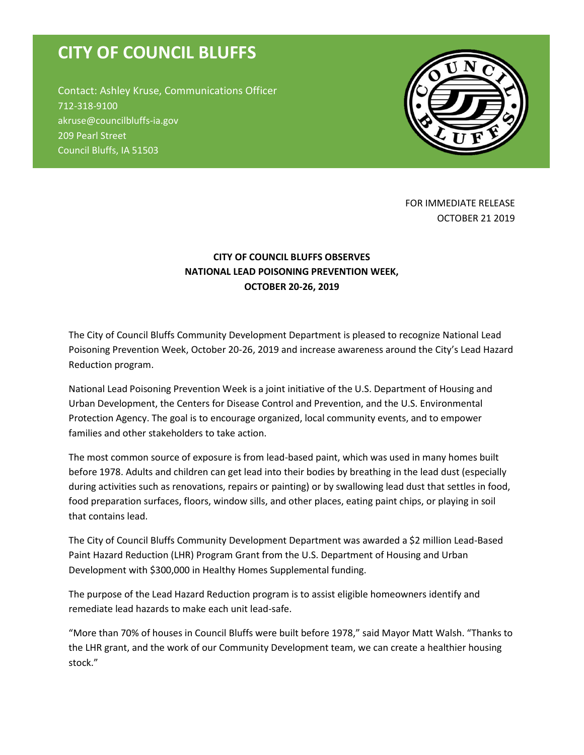## **CITY OF COUNCIL BLUFFS**

Contact: Ashley Kruse, Communications Officer 712-318-9100 akruse@councilbluffs-ia.gov 209 Pearl Street Council Bluffs, IA 51503



FOR IMMEDIATE RELEASE OCTOBER 21 2019

## **CITY OF COUNCIL BLUFFS OBSERVES NATIONAL LEAD POISONING PREVENTION WEEK, OCTOBER 20-26, 2019**

The City of Council Bluffs Community Development Department is pleased to recognize National Lead Poisoning Prevention Week, October 20-26, 2019 and increase awareness around the City's Lead Hazard Reduction program.

National Lead Poisoning Prevention Week is a joint initiative of the U.S. Department of Housing and Urban Development, the Centers for Disease Control and Prevention, and the U.S. Environmental Protection Agency. The goal is to encourage organized, local community events, and to empower families and other stakeholders to take action.

The most common source of exposure is from lead-based paint, which was used in many homes built before 1978. Adults and children can get lead into their bodies by breathing in the lead dust (especially during activities such as renovations, repairs or painting) or by swallowing lead dust that settles in food, food preparation surfaces, floors, window sills, and other places, eating paint chips, or playing in soil that contains lead.

The City of Council Bluffs Community Development Department was awarded a \$2 million Lead-Based Paint Hazard Reduction (LHR) Program Grant from the U.S. Department of Housing and Urban Development with \$300,000 in Healthy Homes Supplemental funding.

The purpose of the Lead Hazard Reduction program is to assist eligible homeowners identify and remediate lead hazards to make each unit lead-safe.

"More than 70% of houses in Council Bluffs were built before 1978," said Mayor Matt Walsh. "Thanks to the LHR grant, and the work of our Community Development team, we can create a healthier housing stock."